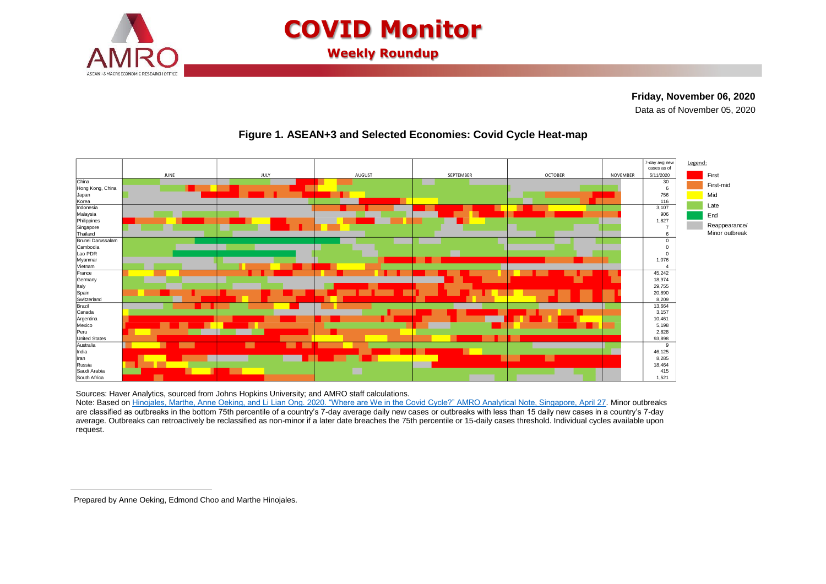

# **COVID Monitor**

**Weekly Roundup**

# **Friday, November 06, 2020**

**<sup>1</sup>**Data as of November 05, 2020



## **Figure 1. ASEAN+3 and Selected Economies: Covid Cycle Heat-map**

Sources: Haver Analytics, sourced from Johns Hopkins University; and AMRO staff calculations.

Note: Based on [Hinojales, Marthe, Anne Oeking, and Li Lian Ong. 2020. "Where are We in the Covid](https://www.amro-asia.org/where-are-we-in-the-covid-cycle/) Cycle?" AMRO Analytical Note, Singapore, April 27. Minor outbreaks are classified as outbreaks in the bottom 75th percentile of a country's 7-day average daily new cases or outbreaks with less than 15 daily new cases in a country's 7-day average. Outbreaks can retroactively be reclassified as non-minor if a later date breaches the 75th percentile or 15-daily cases threshold. Individual cycles available upon request.

 $\overline{a}$ 

Prepared by Anne Oeking, Edmond Choo and Marthe Hinojales.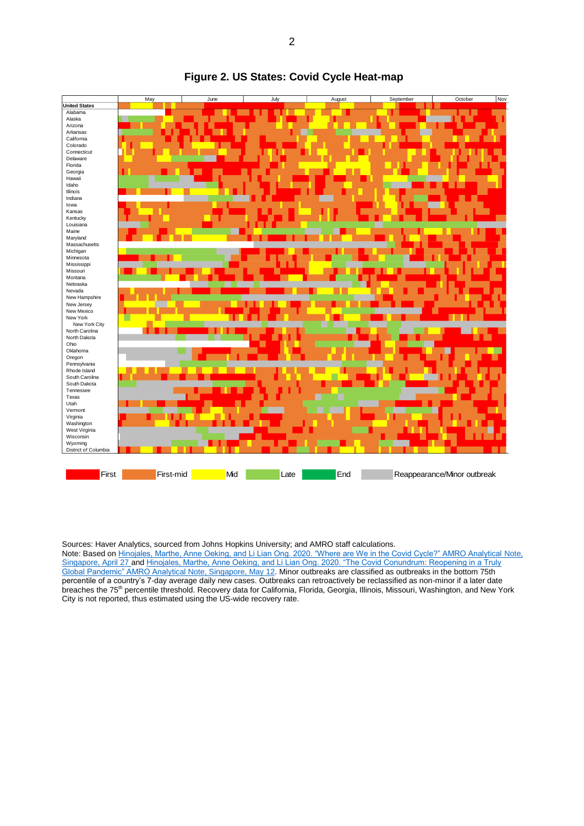

#### **Figure 2. US States: Covid Cycle Heat-map**

Sources: Haver Analytics, sourced from Johns Hopkins University; and AMRO staff calculations.

Note: Based o[n Hinojales, Marthe, Anne Oeking, and Li Lian Ong. 2020. "Where are We in the Covid Cycle?" AMRO Analytical Note,](https://www.amro-asia.org/where-are-we-in-the-covid-cycle/)  [Singapore, April 27](https://www.amro-asia.org/where-are-we-in-the-covid-cycle/) an[d Hinojales, Marthe, Anne Oeking, and Li Lian Ong. 2020. "The Covid Conundrum: Reopening in a Truly](https://www.amro-asia.org/the-covid-conundrum-reopening-in-a-truly-global-pandemic/)  [Global Pandemic" AMRO Analytical Note, Singapore, May 12.](https://www.amro-asia.org/the-covid-conundrum-reopening-in-a-truly-global-pandemic/) Minor outbreaks are classified as outbreaks in the bottom 75th percentile of a country's 7-day average daily new cases. Outbreaks can retroactively be reclassified as non-minor if a later date breaches the 75<sup>th</sup> percentile threshold. Recovery data for California, Florida, Georgia, Illinois, Missouri, Washington, and New York City is not reported, thus estimated using the US-wide recovery rate.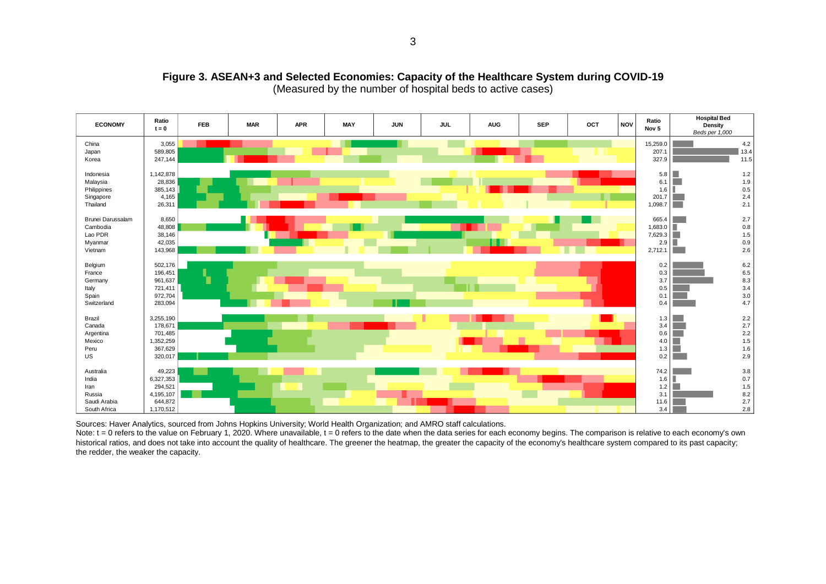

#### **Figure 3. ASEAN+3 and Selected Economies: Capacity of the Healthcare System during COVID-19** (Measured by the number of hospital beds to active cases)

Sources: Haver Analytics, sourced from Johns Hopkins University; World Health Organization; and AMRO staff calculations.

Note: t = 0 refers to the value on February 1, 2020. Where unavailable, t = 0 refers to the date when the data series for each economy begins. The comparison is relative to each economy's own historical ratios, and does not take into account the quality of healthcare. The greener the heatmap, the greater the capacity of the economy's healthcare system compared to its past capacity; the redder, the weaker the capacity.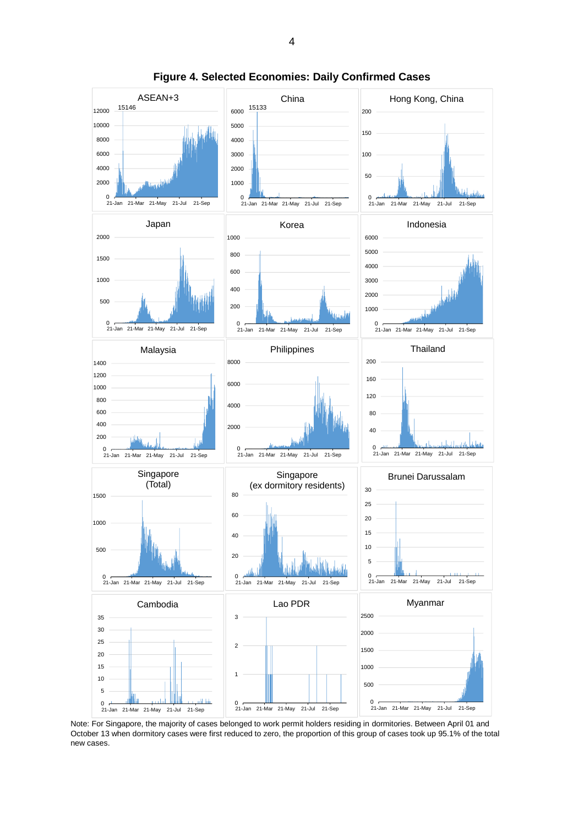

**Figure 4. Selected Economies: Daily Confirmed Cases**

Note: For Singapore, the majority of cases belonged to work permit holders residing in dormitories. Between April 01 and October 13 when dormitory cases were first reduced to zero, the proportion of this group of cases took up 95.1% of the total new cases.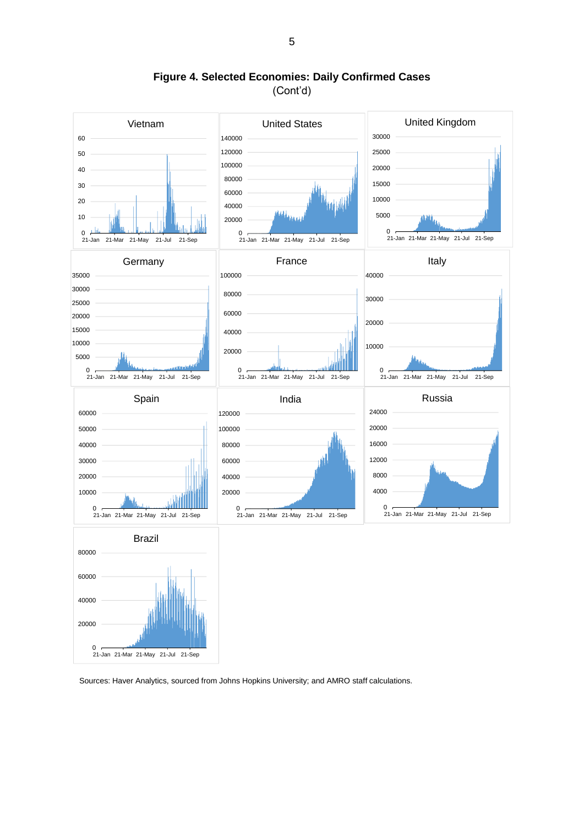

**Figure 4. Selected Economies: Daily Confirmed Cases** (Cont'd)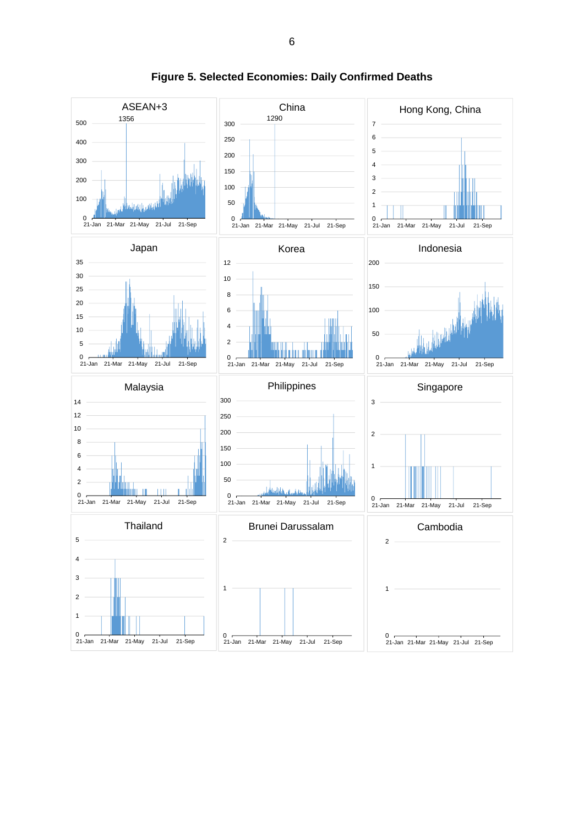

**Figure 5. Selected Economies: Daily Confirmed Deaths**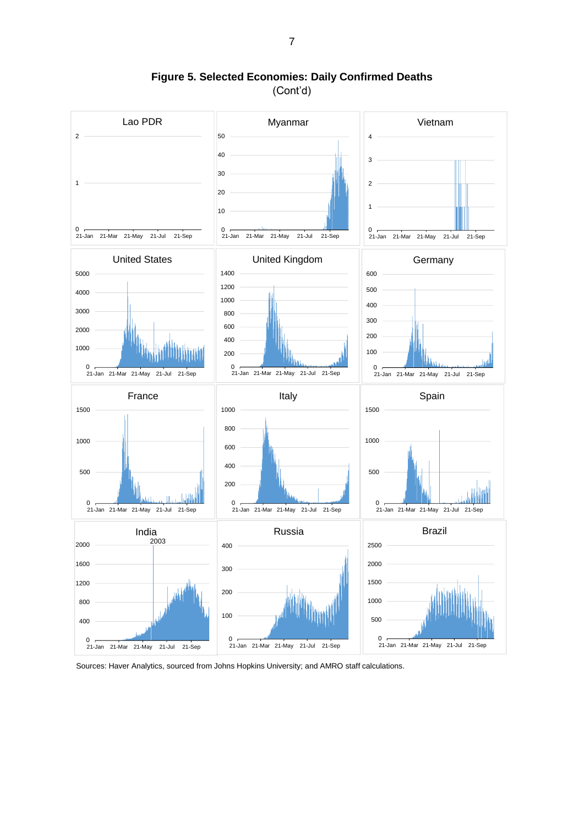

**Figure 5. Selected Economies: Daily Confirmed Deaths** (Cont'd)

Sources: Haver Analytics, sourced from Johns Hopkins University; and AMRO staff calculations.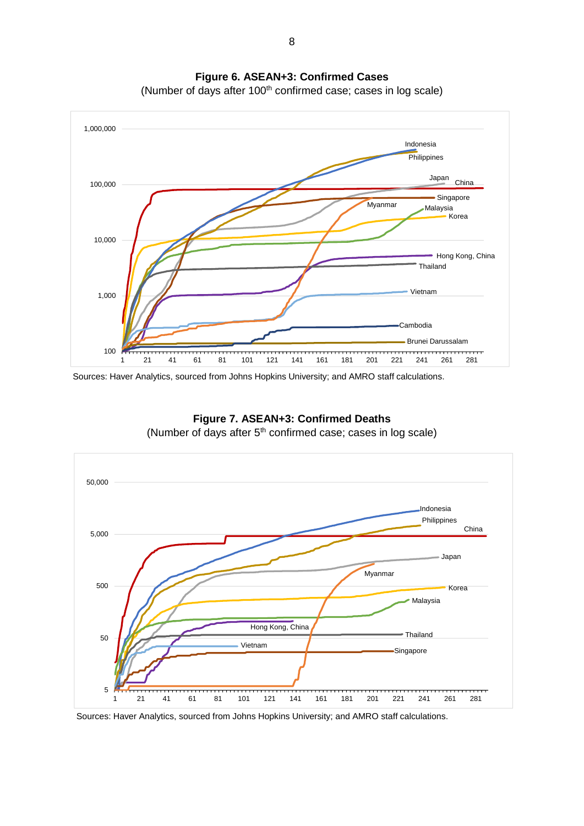

**Figure 6. ASEAN+3: Confirmed Cases**

(Number of days after 100<sup>th</sup> confirmed case; cases in log scale)

Sources: Haver Analytics, sourced from Johns Hopkins University; and AMRO staff calculations.



**Figure 7. ASEAN+3: Confirmed Deaths** (Number of days after  $5<sup>th</sup>$  confirmed case; cases in log scale)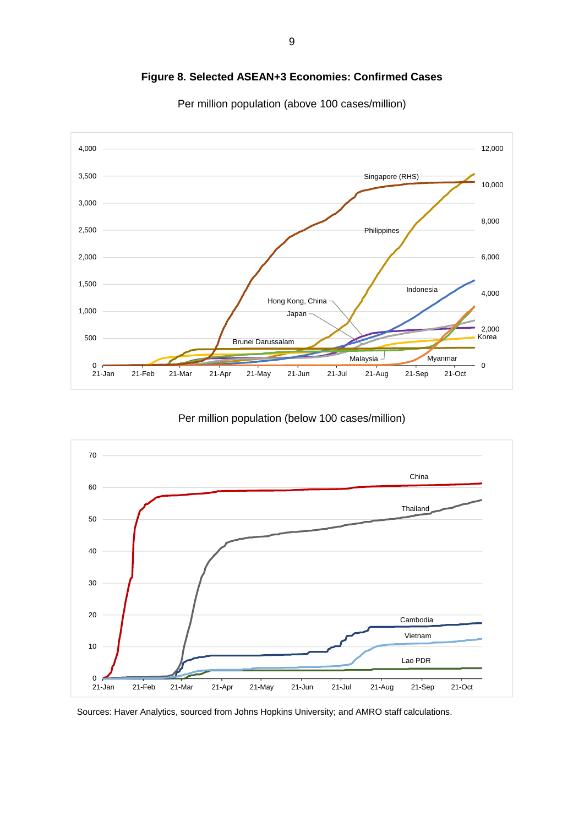

**Figure 8. Selected ASEAN+3 Economies: Confirmed Cases**

Per million population (above 100 cases/million)

Per million population (below 100 cases/million)

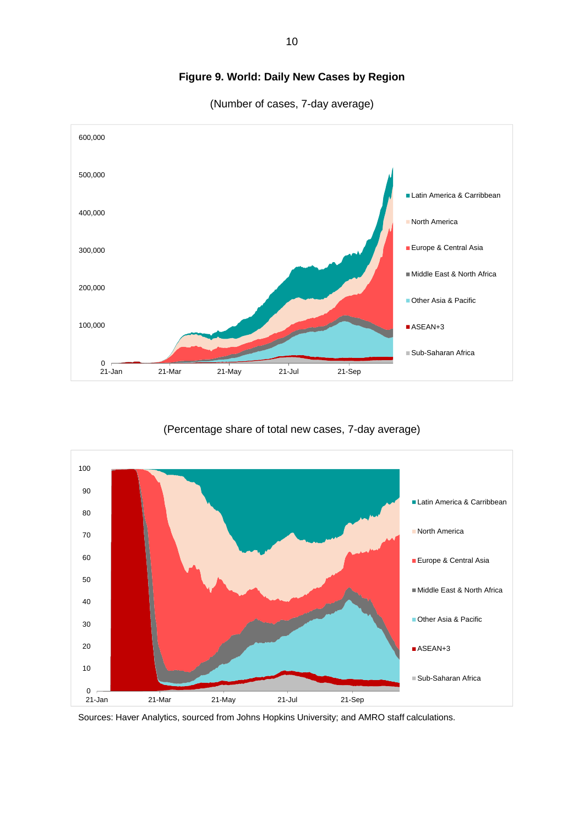

# **Figure 9. World: Daily New Cases by Region**

(Number of cases, 7-day average)

### (Percentage share of total new cases, 7-day average)